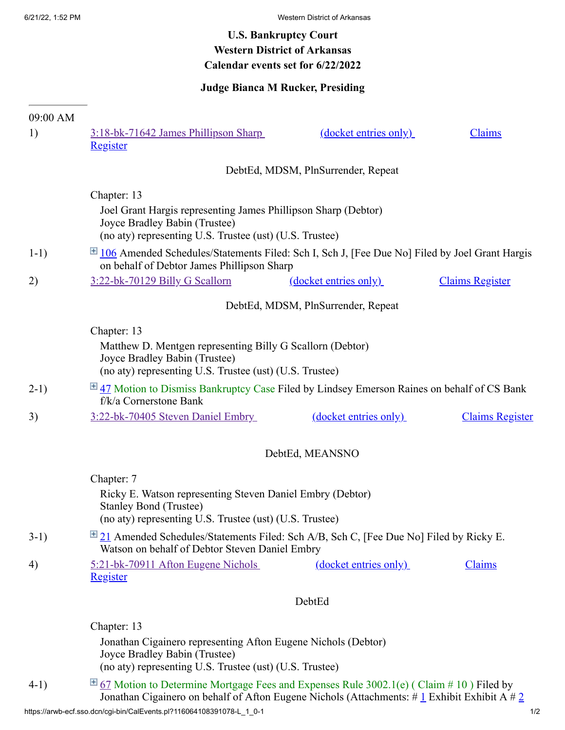## **U.S. Bankruptcy Court Western District of Arkansas Calendar events set for 6/22/2022**

## **Judge Bianca M Rucker, Presiding**

| 09:00 AM<br>1) | 3:18-bk-71642 James Phillipson Sharp                                                                                                                                                                          | (docket entries only) | Claims                 |
|----------------|---------------------------------------------------------------------------------------------------------------------------------------------------------------------------------------------------------------|-----------------------|------------------------|
|                | Register                                                                                                                                                                                                      |                       |                        |
|                | DebtEd, MDSM, PlnSurrender, Repeat                                                                                                                                                                            |                       |                        |
|                | Chapter: 13                                                                                                                                                                                                   |                       |                        |
|                | Joel Grant Hargis representing James Phillipson Sharp (Debtor)<br>Joyce Bradley Babin (Trustee)<br>(no aty) representing U.S. Trustee (ust) (U.S. Trustee)                                                    |                       |                        |
| $1-1)$         | $\boxplus$ 106 Amended Schedules/Statements Filed: Sch I, Sch J, [Fee Due No] Filed by Joel Grant Hargis<br>on behalf of Debtor James Phillipson Sharp                                                        |                       |                        |
| 2)             | 3:22-bk-70129 Billy G Scallorn                                                                                                                                                                                | (docket entries only) | <b>Claims Register</b> |
|                | DebtEd, MDSM, PlnSurrender, Repeat                                                                                                                                                                            |                       |                        |
|                | Chapter: 13                                                                                                                                                                                                   |                       |                        |
|                | Matthew D. Mentgen representing Billy G Scallorn (Debtor)<br>Joyce Bradley Babin (Trustee)<br>(no aty) representing U.S. Trustee (ust) (U.S. Trustee)                                                         |                       |                        |
| $2-1)$         | E 47 Motion to Dismiss Bankruptcy Case Filed by Lindsey Emerson Raines on behalf of CS Bank<br>f/k/a Cornerstone Bank                                                                                         |                       |                        |
| 3)             | 3:22-bk-70405 Steven Daniel Embry                                                                                                                                                                             | (docket entries only) | <b>Claims Register</b> |
|                | DebtEd, MEANSNO                                                                                                                                                                                               |                       |                        |
|                | Chapter: 7                                                                                                                                                                                                    |                       |                        |
|                | Ricky E. Watson representing Steven Daniel Embry (Debtor)<br><b>Stanley Bond (Trustee)</b><br>(no aty) representing U.S. Trustee (ust) (U.S. Trustee)                                                         |                       |                        |
| $3-1)$         | $\boxplus$ 21 Amended Schedules/Statements Filed: Sch A/B, Sch C, [Fee Due No] Filed by Ricky E.<br>Watson on behalf of Debtor Steven Daniel Embry                                                            |                       |                        |
| 4)             | 5:21-bk-70911 Afton Eugene Nichols<br><b>Register</b>                                                                                                                                                         | (docket entries only) | Claims                 |
|                | DebtEd                                                                                                                                                                                                        |                       |                        |
|                | Chapter: 13                                                                                                                                                                                                   |                       |                        |
|                | Jonathan Cigainero representing Afton Eugene Nichols (Debtor)<br>Joyce Bradley Babin (Trustee)<br>(no aty) representing U.S. Trustee (ust) (U.S. Trustee)                                                     |                       |                        |
| $4-1)$         | $\overline{H}$ 67 Motion to Determine Mortgage Fees and Expenses Rule 3002.1(e) (Claim # 10) Filed by<br>Jonathan Cigainero on behalf of Afton Eugene Nichols (Attachments: # $1 \pm 1$ Exhibit Exhibit A # 2 |                       |                        |

https://arwb-ecf.sso.dcn/cgi-bin/CalEvents.pl?116064108391078-L\_1\_0-1 1/2